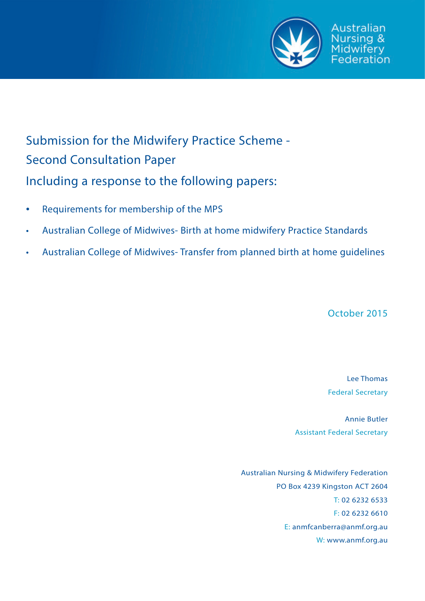

# Submission for the Midwifery Practice Scheme - Second Consultation Paper Including a response to the following papers:

- Requirements for membership of the MPS
- Australian College of Midwives- Birth at home midwifery Practice Standards
- Australian College of Midwives- Transfer from planned birth at home guidelines

October 2015

Lee Thomas Federal Secretary

Annie Butler Assistant Federal Secretary

Australian Nursing & Midwifery Federation PO Box 4239 Kingston ACT 2604 T: 02 6232 6533 F: 02 6232 6610 E: anmfcanberra@anmf.org.au W: www.anmf.org.au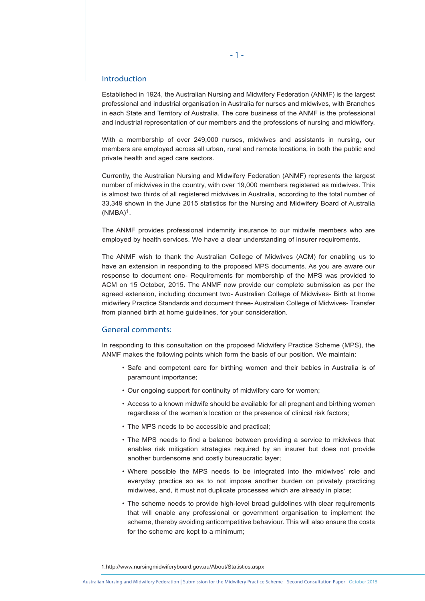# Introduction

Established in 1924, the Australian Nursing and Midwifery Federation (ANMF) is the largest professional and industrial organisation in Australia for nurses and midwives, with Branches in each State and Territory of Australia. The core business of the ANMF is the professional and industrial representation of our members and the professions of nursing and midwifery.

With a membership of over 249,000 nurses, midwives and assistants in nursing, our members are employed across all urban, rural and remote locations, in both the public and private health and aged care sectors.

Currently, the Australian Nursing and Midwifery Federation (ANMF) represents the largest number of midwives in the country, with over 19,000 members registered as midwives. This is almost two thirds of all registered midwives in Australia, according to the total number of 33,349 shown in the June 2015 statistics for the Nursing and Midwifery Board of Australia  $(NMBA)^1$ .

The ANMF provides professional indemnity insurance to our midwife members who are employed by health services. We have a clear understanding of insurer requirements.

The ANMF wish to thank the Australian College of Midwives (ACM) for enabling us to have an extension in responding to the proposed MPS documents. As you are aware our response to document one- Requirements for membership of the MPS was provided to ACM on 15 October, 2015. The ANMF now provide our complete submission as per the agreed extension, including document two- Australian College of Midwives- Birth at home midwifery Practice Standards and document three- Australian College of Midwives- Transfer from planned birth at home guidelines, for your consideration.

## General comments:

In responding to this consultation on the proposed Midwifery Practice Scheme (MPS), the ANMF makes the following points which form the basis of our position. We maintain:

- Safe and competent care for birthing women and their babies in Australia is of paramount importance;
- Our ongoing support for continuity of midwifery care for women;
- Access to a known midwife should be available for all pregnant and birthing women regardless of the woman's location or the presence of clinical risk factors;
- The MPS needs to be accessible and practical;
- The MPS needs to find a balance between providing a service to midwives that enables risk mitigation strategies required by an insurer but does not provide another burdensome and costly bureaucratic layer;
- Where possible the MPS needs to be integrated into the midwives' role and everyday practice so as to not impose another burden on privately practicing midwives, and, it must not duplicate processes which are already in place;
- The scheme needs to provide high-level broad guidelines with clear requirements that will enable any professional or government organisation to implement the scheme, thereby avoiding anticompetitive behaviour. This will also ensure the costs for the scheme are kept to a minimum;

1.http://www.nursingmidwiferyboard.gov.au/About/Statistics.aspx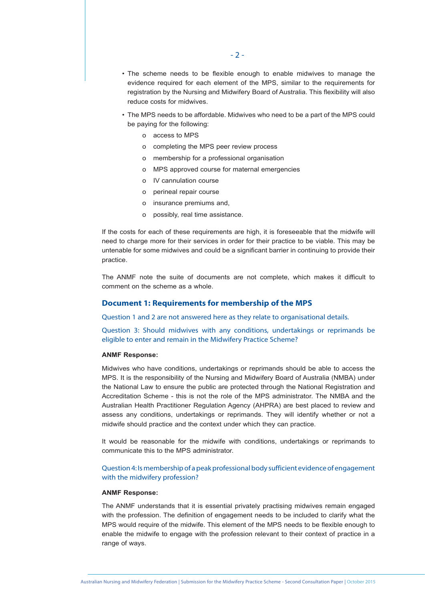- The scheme needs to be flexible enough to enable midwives to manage the evidence required for each element of the MPS, similar to the requirements for registration by the Nursing and Midwifery Board of Australia. This flexibility will also reduce costs for midwives.
- The MPS needs to be affordable. Midwives who need to be a part of the MPS could be paying for the following:
	- o access to MPS
	- o completing the MPS peer review process
	- o membership for a professional organisation
	- o MPS approved course for maternal emergencies
	- o IV cannulation course
	- o perineal repair course
	- o insurance premiums and,
	- o possibly, real time assistance.

If the costs for each of these requirements are high, it is foreseeable that the midwife will need to charge more for their services in order for their practice to be viable. This may be untenable for some midwives and could be a significant barrier in continuing to provide their practice.

The ANMF note the suite of documents are not complete, which makes it difficult to comment on the scheme as a whole.

## **Document 1: Requirements for membership of the MPS**

Question 1 and 2 are not answered here as they relate to organisational details.

Question 3: Should midwives with any conditions, undertakings or reprimands be eligible to enter and remain in the Midwifery Practice Scheme?

## **ANMF Response:**

Midwives who have conditions, undertakings or reprimands should be able to access the MPS. It is the responsibility of the Nursing and Midwifery Board of Australia (NMBA) under the National Law to ensure the public are protected through the National Registration and Accreditation Scheme - this is not the role of the MPS administrator. The NMBA and the Australian Health Practitioner Regulation Agency (AHPRA) are best placed to review and assess any conditions, undertakings or reprimands. They will identify whether or not a midwife should practice and the context under which they can practice.

It would be reasonable for the midwife with conditions, undertakings or reprimands to communicate this to the MPS administrator.

Question 4: Is membership of a peak professional body sufficient evidence of engagement with the midwifery profession?

#### **ANMF Response:**

The ANMF understands that it is essential privately practising midwives remain engaged with the profession. The definition of engagement needs to be included to clarify what the MPS would require of the midwife. This element of the MPS needs to be flexible enough to enable the midwife to engage with the profession relevant to their context of practice in a range of ways.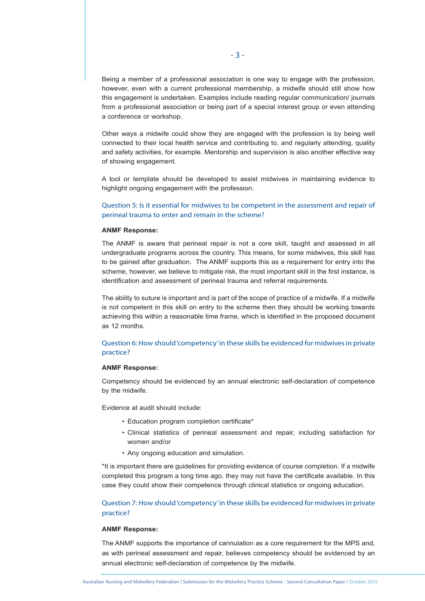Being a member of a professional association is one way to engage with the profession, however, even with a current professional membership, a midwife should still show how this engagement is undertaken. Examples include reading regular communication/ journals from a professional association or being part of a special interest group or even attending a conference or workshop.

Other ways a midwife could show they are engaged with the profession is by being well connected to their local health service and contributing to, and regularly attending, quality and safety activities, for example. Mentorship and supervision is also another effective way of showing engagement.

A tool or template should be developed to assist midwives in maintaining evidence to highlight ongoing engagement with the profession.

# Question 5: Is it essential for midwives to be competent in the assessment and repair of perineal trauma to enter and remain in the scheme?

## **ANMF Response:**

The ANMF is aware that perineal repair is not a core skill, taught and assessed in all undergraduate programs across the country. This means, for some midwives, this skill has to be gained after graduation. The ANMF supports this as a requirement for entry into the scheme, however, we believe to mitigate risk, the most important skill in the first instance, is identification and assessment of perineal trauma and referral requirements.

The ability to suture is important and is part of the scope of practice of a midwife. If a midwife is not competent in this skill on entry to the scheme then they should be working towards achieving this within a reasonable time frame, which is identified in the proposed document as 12 months.

# Question 6: How should 'competency' in these skills be evidenced for midwives in private practice?

#### **ANMF Response:**

Competency should be evidenced by an annual electronic self-declaration of competence by the midwife.

Evidence at audit should include:

- Education program completion certificate\*
- Clinical statistics of perineal assessment and repair, including satisfaction for women and/or
- Any ongoing education and simulation.

\*It is important there are guidelines for providing evidence of course completion. If a midwife completed this program a long time ago, they may not have the certificate available. In this case they could show their competence through clinical statistics or ongoing education.

# Question 7: How should 'competency' in these skills be evidenced for midwives in private practice?

# **ANMF Response:**

The ANMF supports the importance of cannulation as a core requirement for the MPS and, as with perineal assessment and repair, believes competency should be evidenced by an annual electronic self-declaration of competence by the midwife.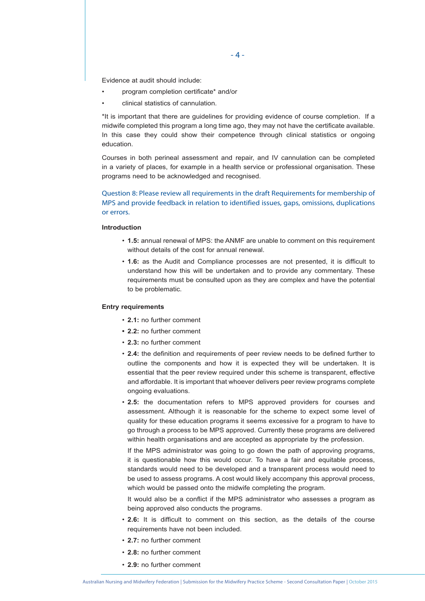Evidence at audit should include:

- program completion certificate\* and/or
- clinical statistics of cannulation.

\*It is important that there are guidelines for providing evidence of course completion. If a midwife completed this program a long time ago, they may not have the certificate available. In this case they could show their competence through clinical statistics or ongoing education.

Courses in both perineal assessment and repair, and IV cannulation can be completed in a variety of places, for example in a health service or professional organisation. These programs need to be acknowledged and recognised.

Question 8: Please review all requirements in the draft Requirements for membership of MPS and provide feedback in relation to identified issues, gaps, omissions, duplications or errors.

## **Introduction**

- **1.5:** annual renewal of MPS: the ANMF are unable to comment on this requirement without details of the cost for annual renewal.
- **1.6:** as the Audit and Compliance processes are not presented, it is difficult to understand how this will be undertaken and to provide any commentary. These requirements must be consulted upon as they are complex and have the potential to be problematic.

## **Entry requirements**

- **2.1:** no further comment
- **• 2.2:** no further comment
- **2.3:** no further comment
- **2.4:** the definition and requirements of peer review needs to be defined further to outline the components and how it is expected they will be undertaken. It is essential that the peer review required under this scheme is transparent, effective and affordable. It is important that whoever delivers peer review programs complete ongoing evaluations.
- **2.5:** the documentation refers to MPS approved providers for courses and assessment. Although it is reasonable for the scheme to expect some level of quality for these education programs it seems excessive for a program to have to go through a process to be MPS approved. Currently these programs are delivered within health organisations and are accepted as appropriate by the profession.

 If the MPS administrator was going to go down the path of approving programs, it is questionable how this would occur. To have a fair and equitable process, standards would need to be developed and a transparent process would need to be used to assess programs. A cost would likely accompany this approval process, which would be passed onto the midwife completing the program.

 It would also be a conflict if the MPS administrator who assesses a program as being approved also conducts the programs.

- **2.6:** It is difficult to comment on this section, as the details of the course requirements have not been included.
- **2.7:** no further comment
- **2.8:** no further comment
- **2.9:** no further comment

 $-4-$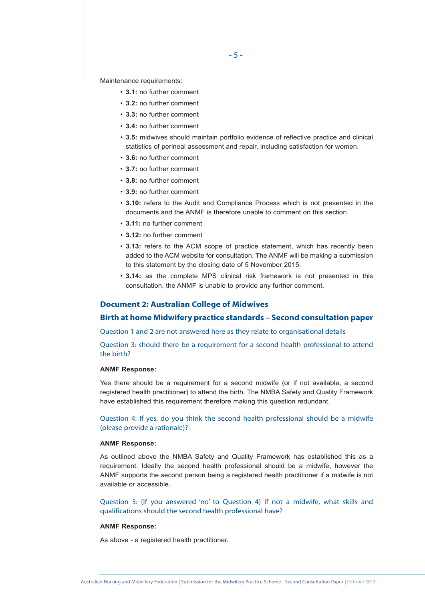Maintenance requirements:

- **3.1:** no further comment
- **3.2:** no further comment
- **3.3:** no further comment
- **3.4:** no further comment
- **3.5:** midwives should maintain portfolio evidence of reflective practice and clinical statistics of perineal assessment and repair, including satisfaction for women.
- **3.6:** no further comment
- **3.7:** no further comment
- **3.8:** no further comment
- **3.9:** no further comment
- **3.10:** refers to the Audit and Compliance Process which is not presented in the documents and the ANMF is therefore unable to comment on this section.
- **3.11:** no further comment
- **3.12:** no further comment
- **3.13:** refers to the ACM scope of practice statement, which has recently been added to the ACM website for consultation. The ANMF will be making a submission to this statement by the closing date of 5 November 2015.
- **3.14:** as the complete MPS clinical risk framework is not presented in this consultation, the ANMF is unable to provide any further comment.

## **Document 2: Australian College of Midwives**

# **Birth at home Midwifery practice standards – Second consultation paper**

Question 1 and 2 are not answered here as they relate to organisational details

Question 3: should there be a requirement for a second health professional to attend the birth?

## **ANMF Response:**

Yes there should be a requirement for a second midwife (or if not available, a second registered health practitioner) to attend the birth. The NMBA Safety and Quality Framework have established this requirement therefore making this question redundant.

Question 4: If yes, do you think the second health professional should be a midwife (please provide a rationale)?

## **ANMF Response:**

As outlined above the NMBA Safety and Quality Framework has established this as a requirement. Ideally the second health professional should be a midwife, however the ANMF supports the second person being a registered health practitioner if a midwife is not available or accessible.

Question 5: (If you answered 'no' to Question 4) if not a midwife, what skills and qualifications should the second health professional have?

## **ANMF Response:**

As above - a registered health practitioner.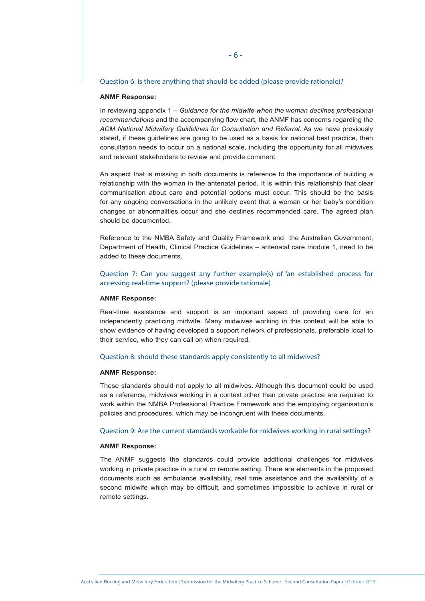## Question 6: Is there anything that should be added (please provide rationale)?

#### **ANMF Response:**

In reviewing appendix 1 – *Guidance for the midwife when the woman declines professional recommendations* and the accompanying flow chart, the ANMF has concerns regarding the *ACM National Midwifery Guidelines for Consultation and Referral*. As we have previously stated, if these guidelines are going to be used as a basis for national best practice, then consultation needs to occur on a national scale, including the opportunity for all midwives and relevant stakeholders to review and provide comment.

An aspect that is missing in both documents is reference to the importance of building a relationship with the woman in the antenatal period. It is within this relationship that clear communication about care and potential options must occur. This should be the basis for any ongoing conversations in the unlikely event that a woman or her baby's condition changes or abnormalities occur and she declines recommended care. The agreed plan should be documented.

Reference to the NMBA Safety and Quality Framework and the Australian Government, Department of Health, Clinical Practice Guidelines – antenatal care module 1, need to be added to these documents.

# Question 7: Can you suggest any further example(s) of 'an established process for accessing real-time support? (please provide rationale)

#### **ANMF Response:**

Real-time assistance and support is an important aspect of providing care for an independently practicing midwife. Many midwives working in this context will be able to show evidence of having developed a support network of professionals, preferable local to their service, who they can call on when required.

# Question 8: should these standards apply consistently to all midwives?

#### **ANMF Response:**

These standards should not apply to all midwives. Although this document could be used as a reference, midwives working in a context other than private practice are required to work within the NMBA Professional Practice Framework and the employing organisation's policies and procedures, which may be incongruent with these documents.

## Question 9: Are the current standards workable for midwives working in rural settings?

#### **ANMF Response:**

The ANMF suggests the standards could provide additional challenges for midwives working in private practice in a rural or remote setting. There are elements in the proposed documents such as ambulance availability, real time assistance and the availability of a second midwife which may be difficult, and sometimes impossible to achieve in rural or remote settings.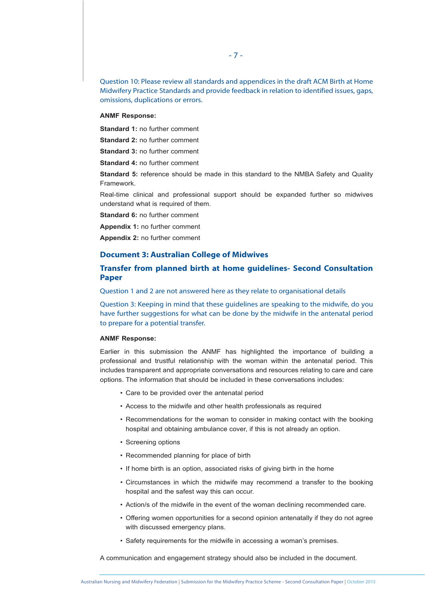Question 10: Please review all standards and appendices in the draft ACM Birth at Home Midwifery Practice Standards and provide feedback in relation to identified issues, gaps, omissions, duplications or errors.

### **ANMF Response:**

**Standard 1:** no further comment

**Standard 2:** no further comment

**Standard 3:** no further comment

**Standard 4:** no further comment

**Standard 5:** reference should be made in this standard to the NMBA Safety and Quality Framework.

Real-time clinical and professional support should be expanded further so midwives understand what is required of them.

**Standard 6:** no further comment

**Appendix 1:** no further comment

**Appendix 2:** no further comment

# **Document 3: Australian College of Midwives**

# **Transfer from planned birth at home guidelines- Second Consultation Paper**

Question 1 and 2 are not answered here as they relate to organisational details

Question 3: Keeping in mind that these guidelines are speaking to the midwife, do you have further suggestions for what can be done by the midwife in the antenatal period to prepare for a potential transfer.

## **ANMF Response:**

Earlier in this submission the ANMF has highlighted the importance of building a professional and trustful relationship with the woman within the antenatal period. This includes transparent and appropriate conversations and resources relating to care and care options. The information that should be included in these conversations includes:

- Care to be provided over the antenatal period
- Access to the midwife and other health professionals as required
- Recommendations for the woman to consider in making contact with the booking hospital and obtaining ambulance cover, if this is not already an option.
- Screening options
- Recommended planning for place of birth
- If home birth is an option, associated risks of giving birth in the home
- Circumstances in which the midwife may recommend a transfer to the booking hospital and the safest way this can occur.
- Action/s of the midwife in the event of the woman declining recommended care.
- Offering women opportunities for a second opinion antenatally if they do not agree with discussed emergency plans.
- Safety requirements for the midwife in accessing a woman's premises.

A communication and engagement strategy should also be included in the document.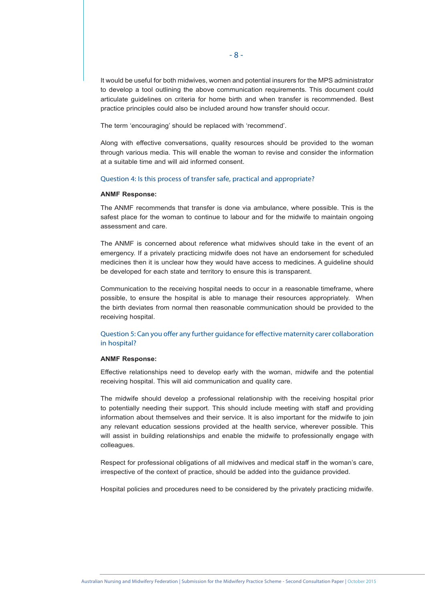It would be useful for both midwives, women and potential insurers for the MPS administrator to develop a tool outlining the above communication requirements. This document could articulate guidelines on criteria for home birth and when transfer is recommended. Best practice principles could also be included around how transfer should occur.

The term 'encouraging' should be replaced with 'recommend'.

Along with effective conversations, quality resources should be provided to the woman through various media. This will enable the woman to revise and consider the information at a suitable time and will aid informed consent.

## Question 4: Is this process of transfer safe, practical and appropriate?

## **ANMF Response:**

The ANMF recommends that transfer is done via ambulance, where possible. This is the safest place for the woman to continue to labour and for the midwife to maintain ongoing assessment and care.

The ANMF is concerned about reference what midwives should take in the event of an emergency. If a privately practicing midwife does not have an endorsement for scheduled medicines then it is unclear how they would have access to medicines. A guideline should be developed for each state and territory to ensure this is transparent.

Communication to the receiving hospital needs to occur in a reasonable timeframe, where possible, to ensure the hospital is able to manage their resources appropriately. When the birth deviates from normal then reasonable communication should be provided to the receiving hospital.

Question 5: Can you offer any further guidance for effective maternity carer collaboration in hospital?

## **ANMF Response:**

Effective relationships need to develop early with the woman, midwife and the potential receiving hospital. This will aid communication and quality care.

The midwife should develop a professional relationship with the receiving hospital prior to potentially needing their support. This should include meeting with staff and providing information about themselves and their service. It is also important for the midwife to join any relevant education sessions provided at the health service, wherever possible. This will assist in building relationships and enable the midwife to professionally engage with colleagues.

Respect for professional obligations of all midwives and medical staff in the woman's care, irrespective of the context of practice, should be added into the guidance provided.

Hospital policies and procedures need to be considered by the privately practicing midwife.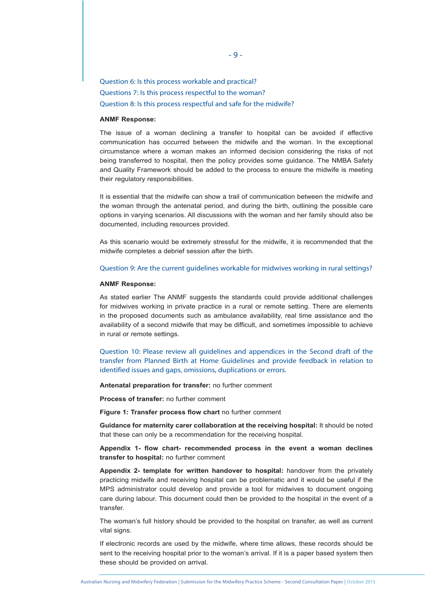Question 6: Is this process workable and practical? Questions 7: Is this process respectful to the woman? Question 8: Is this process respectful and safe for the midwife?

## **ANMF Response:**

The issue of a woman declining a transfer to hospital can be avoided if effective communication has occurred between the midwife and the woman. In the exceptional circumstance where a woman makes an informed decision considering the risks of not being transferred to hospital, then the policy provides some guidance. The NMBA Safety and Quality Framework should be added to the process to ensure the midwife is meeting their regulatory responsibilities.

It is essential that the midwife can show a trail of communication between the midwife and the woman through the antenatal period, and during the birth, outlining the possible care options in varying scenarios. All discussions with the woman and her family should also be documented, including resources provided.

As this scenario would be extremely stressful for the midwife, it is recommended that the midwife completes a debrief session after the birth.

## Question 9: Are the current guidelines workable for midwives working in rural settings?

#### **ANMF Response:**

As stated earlier The ANMF suggests the standards could provide additional challenges for midwives working in private practice in a rural or remote setting. There are elements in the proposed documents such as ambulance availability, real time assistance and the availability of a second midwife that may be difficult, and sometimes impossible to achieve in rural or remote settings.

Question 10: Please review all guidelines and appendices in the Second draft of the transfer from Planned Birth at Home Guidelines and provide feedback in relation to identified issues and gaps, omissions, duplications or errors.

**Antenatal preparation for transfer:** no further comment

**Process of transfer:** no further comment

**Figure 1: Transfer process flow chart** no further comment

**Guidance for maternity carer collaboration at the receiving hospital:** It should be noted that these can only be a recommendation for the receiving hospital.

**Appendix 1- flow chart- recommended process in the event a woman declines transfer to hospital:** no further comment

**Appendix 2- template for written handover to hospital:** handover from the privately practicing midwife and receiving hospital can be problematic and it would be useful if the MPS administrator could develop and provide a tool for midwives to document ongoing care during labour. This document could then be provided to the hospital in the event of a transfer.

The woman's full history should be provided to the hospital on transfer, as well as current vital signs.

If electronic records are used by the midwife, where time allows, these records should be sent to the receiving hospital prior to the woman's arrival. If it is a paper based system then these should be provided on arrival.